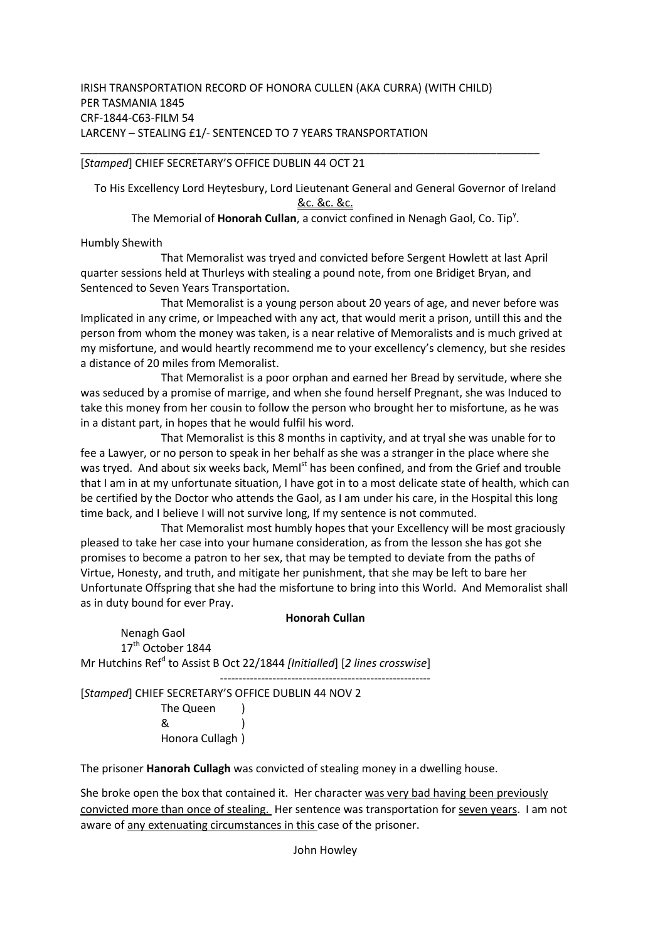## [*Stamped*] CHIEF SECRETARY'S OFFICE DUBLIN 44 OCT 21

To His Excellency Lord Heytesbury, Lord Lieutenant General and General Governor of Ireland &c. &c. &c.

\_\_\_\_\_\_\_\_\_\_\_\_\_\_\_\_\_\_\_\_\_\_\_\_\_\_\_\_\_\_\_\_\_\_\_\_\_\_\_\_\_\_\_\_\_\_\_\_\_\_\_\_\_\_\_\_\_\_\_\_\_\_\_\_\_\_\_\_\_\_\_\_\_\_\_

The Memorial of **Honorah Cullan**, a convict confined in Nenagh Gaol, Co. Tip<sup>y</sup>.

## Humbly Shewith

 That Memoralist was tryed and convicted before Sergent Howlett at last April quarter sessions held at Thurleys with stealing a pound note, from one Bridiget Bryan, and Sentenced to Seven Years Transportation.

 That Memoralist is a young person about 20 years of age, and never before was Implicated in any crime, or Impeached with any act, that would merit a prison, untill this and the person from whom the money was taken, is a near relative of Memoralists and is much grived at my misfortune, and would heartly recommend me to your excellency's clemency, but she resides a distance of 20 miles from Memoralist.

 That Memoralist is a poor orphan and earned her Bread by servitude, where she was seduced by a promise of marrige, and when she found herself Pregnant, she was Induced to take this money from her cousin to follow the person who brought her to misfortune, as he was in a distant part, in hopes that he would fulfil his word.

 That Memoralist is this 8 months in captivity, and at tryal she was unable for to fee a Lawyer, or no person to speak in her behalf as she was a stranger in the place where she was tryed. And about six weeks back, Meml<sup>st</sup> has been confined, and from the Grief and trouble that I am in at my unfortunate situation, I have got in to a most delicate state of health, which can be certified by the Doctor who attends the Gaol, as I am under his care, in the Hospital this long time back, and I believe I will not survive long, If my sentence is not commuted.

 That Memoralist most humbly hopes that your Excellency will be most graciously pleased to take her case into your humane consideration, as from the lesson she has got she promises to become a patron to her sex, that may be tempted to deviate from the paths of Virtue, Honesty, and truth, and mitigate her punishment, that she may be left to bare her Unfortunate Offspring that she had the misfortune to bring into this World. And Memoralist shall as in duty bound for ever Pray.

## **Honorah Cullan**

Nenagh Gaol 17<sup>th</sup> October 1844 Mr Hutchins Ref<sup>d</sup> to Assist B Oct 22/1844 *[Initialled*] [*2 lines crosswise*]

-------------------------------------------------------- [*Stamped*] CHIEF SECRETARY'S OFFICE DUBLIN 44 NOV 2

 The Queen ) & ) Honora Cullagh )

The prisoner **Hanorah Cullagh** was convicted of stealing money in a dwelling house.

She broke open the box that contained it. Her character was very bad having been previously convicted more than once of stealing. Her sentence was transportation for seven years. I am not aware of any extenuating circumstances in this case of the prisoner.

John Howley